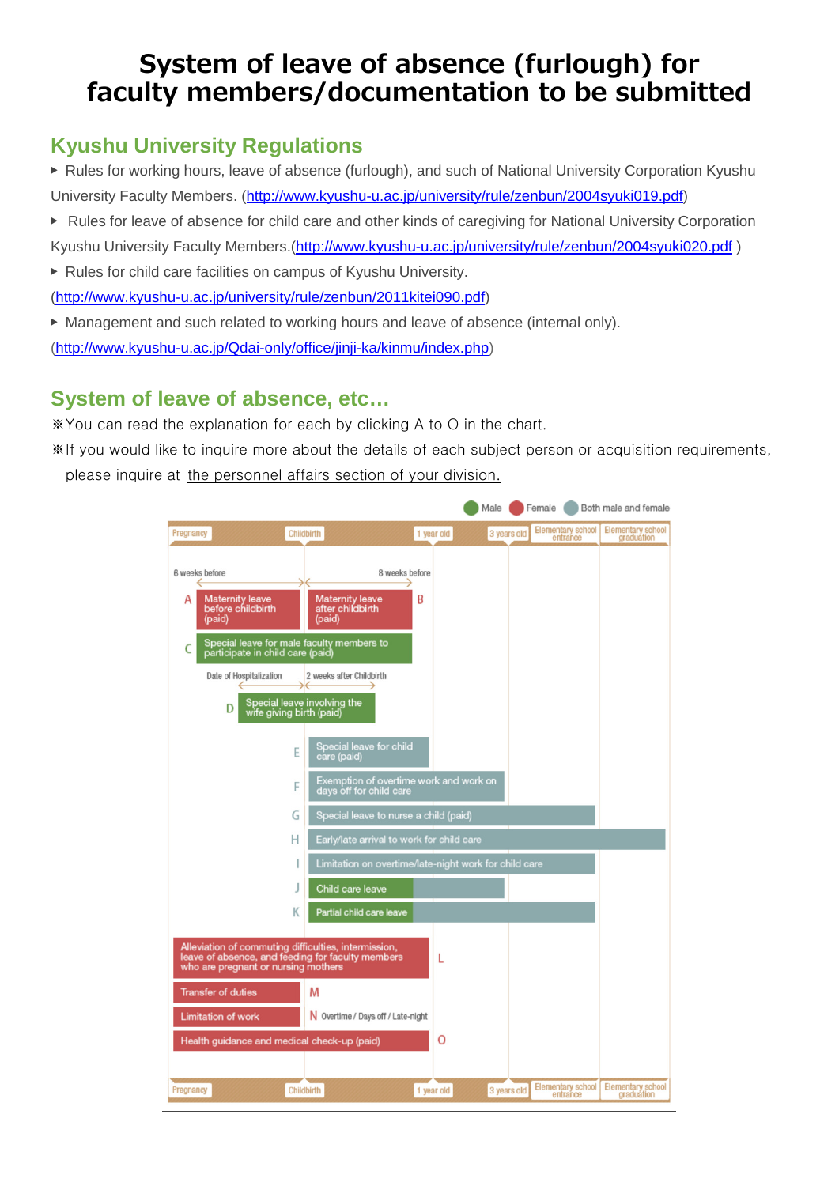# **System of leave of absence (furlough) for faculty members/documentation to be submitted**

## **Kyushu University Regulations**

▶ Rules for working hours, leave of absence (furlough), and such of National University Corporation Kyushu University Faculty Members. [\(http://www.kyushu-u.ac.jp/university/rule/zenbun/2004syuki019.pdf\)](http://www.kyushu-u.ac.jp/university/rule/zenbun/2004syuki019.pdf)

- ▶ Rules for leave of absence for child care and other kinds of caregiving for National University Corporation Kyushu University Faculty Members.[\(http://www.kyushu-u.ac.jp/university/rule/zenbun/2004syuki020.pdf](http://www.kyushu-u.ac.jp/university/rule/zenbun/2004syuki020.pdf) )
- ▶ Rules for child care facilities on campus of Kyushu University. [\(http://www.kyushu-u.ac.jp/university/rule/zenbun/2011kitei090.pdf\)](http://www.kyushu-u.ac.jp/university/rule/zenbun/2011kitei090.pdf)
- ▶ [Management and such related to working hours and leave of absence \(internal only\).](http://www.kyushu-u.ac.jp/Qdai-only/office/jinji-ka/kinmu/index.php) [\(http://www.kyushu-u.ac.jp/Qdai-only/office/jinji-ka/kinmu/index.php\)](http://www.kyushu-u.ac.jp/Qdai-only/office/jinji-ka/kinmu/index.php)

## **System of leave of absence, etc…**

※You can read the explanation for each by clicking A to O in the chart.

※If you would like to inquire more about the details of each subject person or acquisition requirements, please inquire at the personnel affairs section of your division.

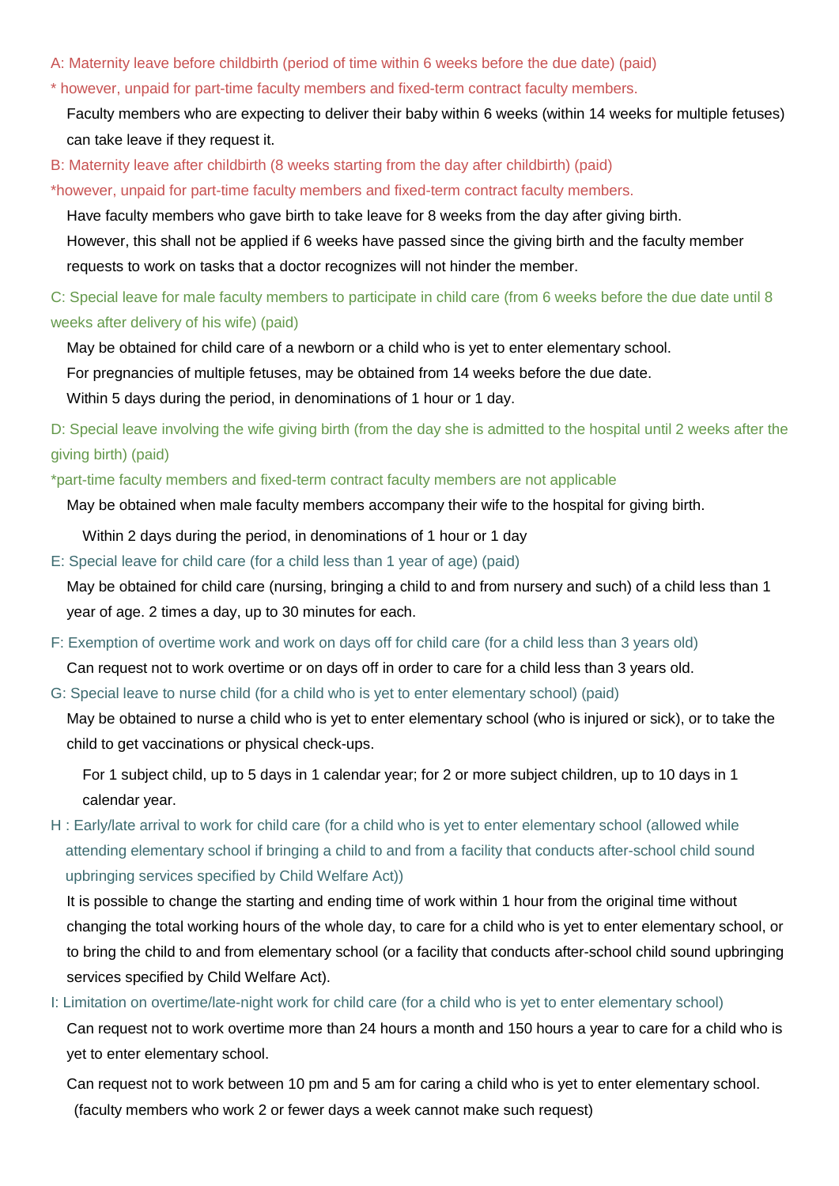- A: Maternity leave before childbirth (period of time within 6 weeks before the due date) (paid)
- \* however, unpaid for part-time faculty members and fixed-term contract faculty members.

Faculty members who are expecting to deliver their baby within 6 weeks (within 14 weeks for multiple fetuses) can take leave if they request it.

B: Maternity leave after childbirth (8 weeks starting from the day after childbirth) (paid)

\*however, unpaid for part-time faculty members and fixed-term contract faculty members.

Have faculty members who gave birth to take leave for 8 weeks from the day after giving birth.

However, this shall not be applied if 6 weeks have passed since the giving birth and the faculty member

requests to work on tasks that a doctor recognizes will not hinder the member.

C: Special leave for male faculty members to participate in child care (from 6 weeks before the due date until 8 weeks after delivery of his wife) (paid)

May be obtained for child care of a newborn or a child who is yet to enter elementary school.

For pregnancies of multiple fetuses, may be obtained from 14 weeks before the due date.

Within 5 days during the period, in denominations of 1 hour or 1 day.

D: Special leave involving the wife giving birth (from the day she is admitted to the hospital until 2 weeks after the giving birth) (paid)

\*part-time faculty members and fixed-term contract faculty members are not applicable

May be obtained when male faculty members accompany their wife to the hospital for giving birth.

Within 2 days during the period, in denominations of 1 hour or 1 day

E: Special leave for child care (for a child less than 1 year of age) (paid)

May be obtained for child care (nursing, bringing a child to and from nursery and such) of a child less than 1 year of age. 2 times a day, up to 30 minutes for each.

F: Exemption of overtime work and work on days off for child care (for a child less than 3 years old)

Can request not to work overtime or on days off in order to care for a child less than 3 years old.

G: Special leave to nurse child (for a child who is yet to enter elementary school) (paid)

May be obtained to nurse a child who is yet to enter elementary school (who is injured or sick), or to take the child to get vaccinations or physical check-ups.

For 1 subject child, up to 5 days in 1 calendar year; for 2 or more subject children, up to 10 days in 1 calendar year.

H : Early/late arrival to work for child care (for a child who is yet to enter elementary school (allowed while attending elementary school if bringing a child to and from a facility that conducts after-school child sound upbringing services specified by Child Welfare Act))

It is possible to change the starting and ending time of work within 1 hour from the original time without changing the total working hours of the whole day, to care for a child who is yet to enter elementary school, or to bring the child to and from elementary school (or a facility that conducts after-school child sound upbringing services specified by Child Welfare Act).

I: Limitation on overtime/late-night work for child care (for a child who is yet to enter elementary school)

Can request not to work overtime more than 24 hours a month and 150 hours a year to care for a child who is yet to enter elementary school.

Can request not to work between 10 pm and 5 am for caring a child who is yet to enter elementary school. (faculty members who work 2 or fewer days a week cannot make such request)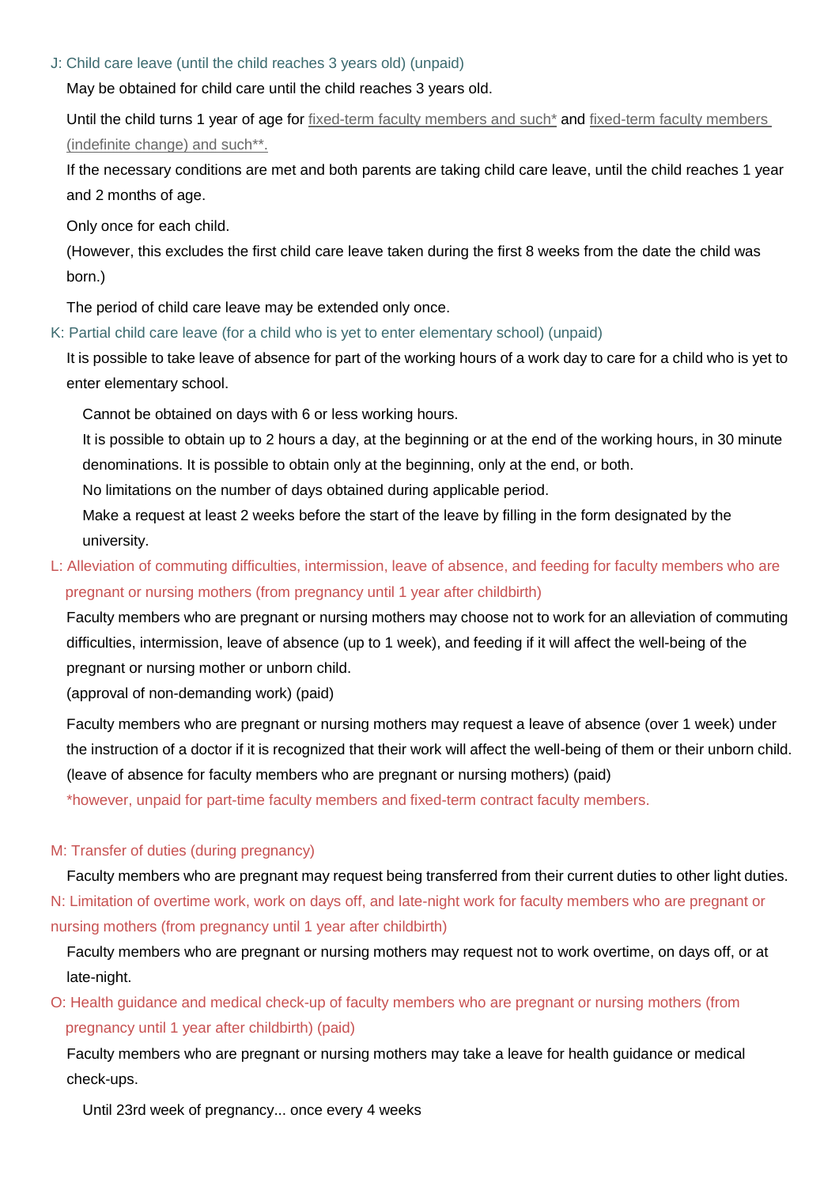#### J: Child care leave (until the child reaches 3 years old) (unpaid)

May be obtained for child care until the child reaches 3 years old.

Until the child turns 1 year of age for fixed-term faculty members and such<sup>\*</sup> and fixed-term faculty members (indefinite change) and such\*\*.

If the necessary conditions are met and both parents are taking child care leave, until the child reaches 1 year and 2 months of age.

Only once for each child.

(However, this excludes the first child care leave taken during the first 8 weeks from the date the child was born.)

The period of child care leave may be extended only once.

K: Partial child care leave (for a child who is yet to enter elementary school) (unpaid)

It is possible to take leave of absence for part of the working hours of a work day to care for a child who is yet to enter elementary school.

Cannot be obtained on days with 6 or less working hours.

It is possible to obtain up to 2 hours a day, at the beginning or at the end of the working hours, in 30 minute denominations. It is possible to obtain only at the beginning, only at the end, or both.

No limitations on the number of days obtained during applicable period.

Make a request at least 2 weeks before the start of the leave by filling in the form designated by the university.

### L: Alleviation of commuting difficulties, intermission, leave of absence, and feeding for faculty members who are pregnant or nursing mothers (from pregnancy until 1 year after childbirth)

Faculty members who are pregnant or nursing mothers may choose not to work for an alleviation of commuting difficulties, intermission, leave of absence (up to 1 week), and feeding if it will affect the well-being of the pregnant or nursing mother or unborn child.

(approval of non-demanding work) (paid)

Faculty members who are pregnant or nursing mothers may request a leave of absence (over 1 week) under the instruction of a doctor if it is recognized that their work will affect the well-being of them or their unborn child. (leave of absence for faculty members who are pregnant or nursing mothers) (paid)

\*however, unpaid for part-time faculty members and fixed-term contract faculty members.

#### M: Transfer of duties (during pregnancy)

Faculty members who are pregnant may request being transferred from their current duties to other light duties. N: Limitation of overtime work, work on days off, and late-night work for faculty members who are pregnant or nursing mothers (from pregnancy until 1 year after childbirth)

Faculty members who are pregnant or nursing mothers may request not to work overtime, on days off, or at late-night.

O: Health guidance and medical check-up of faculty members who are pregnant or nursing mothers (from pregnancy until 1 year after childbirth) (paid)

Faculty members who are pregnant or nursing mothers may take a leave for health guidance or medical check-ups.

Until 23rd week of pregnancy... once every 4 weeks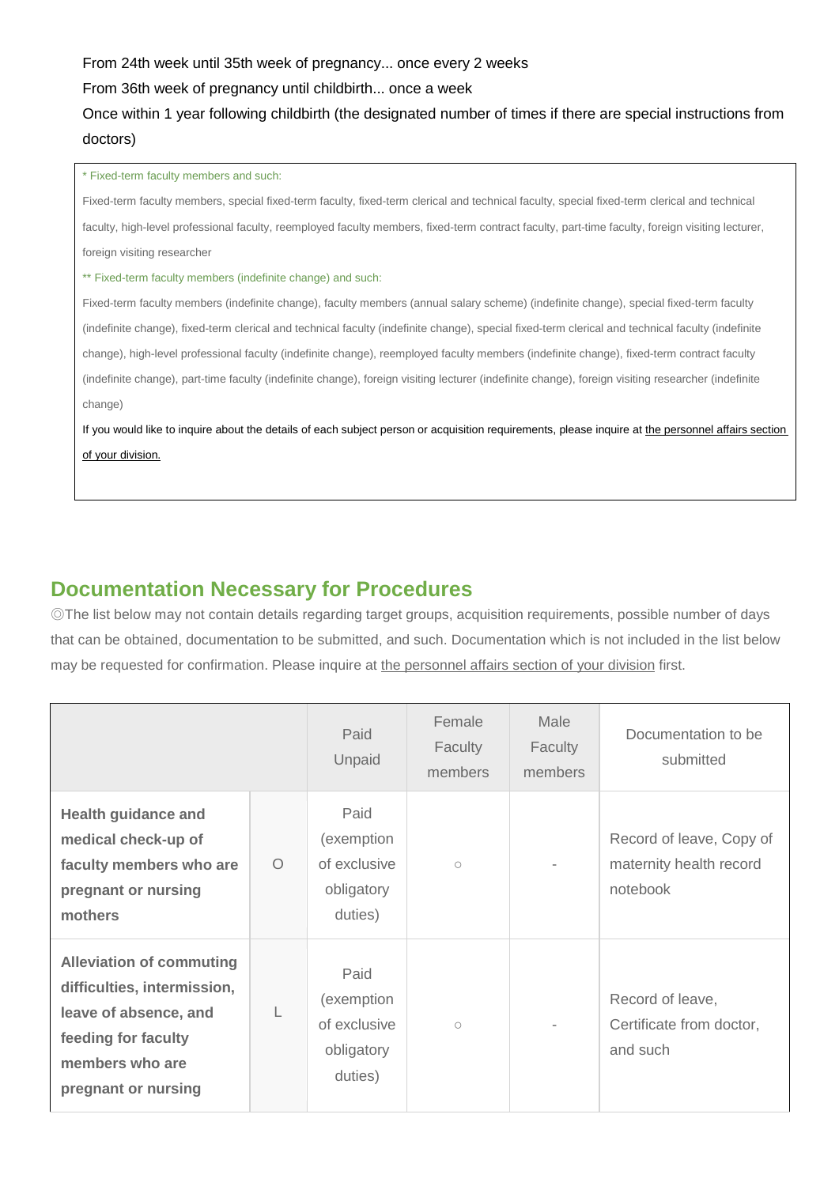From 24th week until 35th week of pregnancy... once every 2 weeks

From 36th week of pregnancy until childbirth... once a week

## Once within 1 year following childbirth (the designated number of times if there are special instructions from doctors)

#### \* Fixed-term faculty members and such:

Fixed-term faculty members, special fixed-term faculty, fixed-term clerical and technical faculty, special fixed-term clerical and technical faculty, high-level professional faculty, reemployed faculty members, fixed-term contract faculty, part-time faculty, foreign visiting lecturer, foreign visiting researcher

\*\* Fixed-term faculty members (indefinite change) and such:

Fixed-term faculty members (indefinite change), faculty members (annual salary scheme) (indefinite change), special fixed-term faculty (indefinite change), fixed-term clerical and technical faculty (indefinite change), special fixed-term clerical and technical faculty (indefinite change), high-level professional faculty (indefinite change), reemployed faculty members (indefinite change), fixed-term contract faculty (indefinite change), part-time faculty (indefinite change), foreign visiting lecturer (indefinite change), foreign visiting researcher (indefinite change)

If you would like to inquire about the details of each subject person or acquisition requirements, please inquire at the personnel affairs section of your division.

## **Documentation Necessary for Procedures**

◎The list below may not contain details regarding target groups, acquisition requirements, possible number of days that can be obtained, documentation to be submitted, and such. Documentation which is not included in the list below may be requested for confirmation. Please inquire at the personnel affairs section of your division first.

|                                                                                                                                                          |          | Paid<br>Unpaid                                              | Female<br>Faculty<br>members | Male<br>Faculty<br>members | Documentation to be<br>submitted                                |
|----------------------------------------------------------------------------------------------------------------------------------------------------------|----------|-------------------------------------------------------------|------------------------------|----------------------------|-----------------------------------------------------------------|
| <b>Health guidance and</b><br>medical check-up of<br>faculty members who are<br>pregnant or nursing<br>mothers                                           | $\Omega$ | Paid<br>(exemption<br>of exclusive<br>obligatory<br>duties) | $\circ$                      |                            | Record of leave, Copy of<br>maternity health record<br>notebook |
| <b>Alleviation of commuting</b><br>difficulties, intermission,<br>leave of absence, and<br>feeding for faculty<br>members who are<br>pregnant or nursing | L        | Paid<br>(exemption<br>of exclusive<br>obligatory<br>duties) | $\bigcirc$                   |                            | Record of leave,<br>Certificate from doctor,<br>and such        |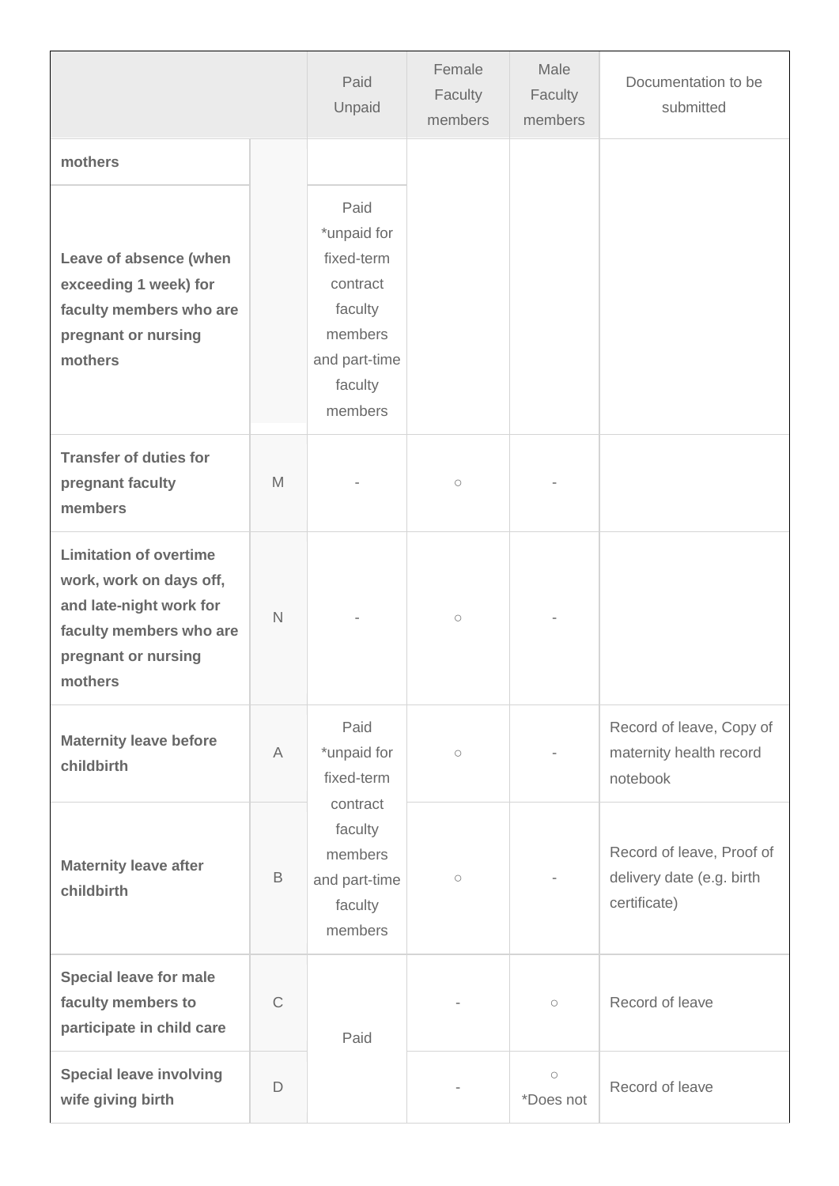|                                                                                                                                                  |              | Paid<br>Unpaid                                                                                             | Female<br>Faculty<br>members | Male<br>Faculty<br>members | Documentation to be<br>submitted                                       |
|--------------------------------------------------------------------------------------------------------------------------------------------------|--------------|------------------------------------------------------------------------------------------------------------|------------------------------|----------------------------|------------------------------------------------------------------------|
| mothers                                                                                                                                          |              |                                                                                                            |                              |                            |                                                                        |
| Leave of absence (when<br>exceeding 1 week) for<br>faculty members who are<br>pregnant or nursing<br>mothers                                     |              | Paid<br>*unpaid for<br>fixed-term<br>contract<br>faculty<br>members<br>and part-time<br>faculty<br>members |                              |                            |                                                                        |
| <b>Transfer of duties for</b><br>pregnant faculty<br>members                                                                                     | M            |                                                                                                            | $\bigcirc$                   |                            |                                                                        |
| <b>Limitation of overtime</b><br>work, work on days off,<br>and late-night work for<br>faculty members who are<br>pregnant or nursing<br>mothers | $\mathsf{N}$ |                                                                                                            | $\bigcirc$                   |                            |                                                                        |
| <b>Maternity leave before</b><br>childbirth                                                                                                      | A            | Paid<br>*unpaid for<br>fixed-term<br>contract<br>faculty<br>members<br>and part-time<br>faculty<br>members | $\bigcirc$                   |                            | Record of leave, Copy of<br>maternity health record<br>notebook        |
| <b>Maternity leave after</b><br>childbirth                                                                                                       | B            |                                                                                                            | $\bigcirc$                   |                            | Record of leave, Proof of<br>delivery date (e.g. birth<br>certificate) |
| <b>Special leave for male</b><br>faculty members to<br>participate in child care                                                                 | $\mathsf{C}$ | Paid                                                                                                       |                              | $\bigcirc$                 | Record of leave                                                        |
| <b>Special leave involving</b><br>wife giving birth                                                                                              | D            |                                                                                                            |                              | $\bigcirc$<br>*Does not    | Record of leave                                                        |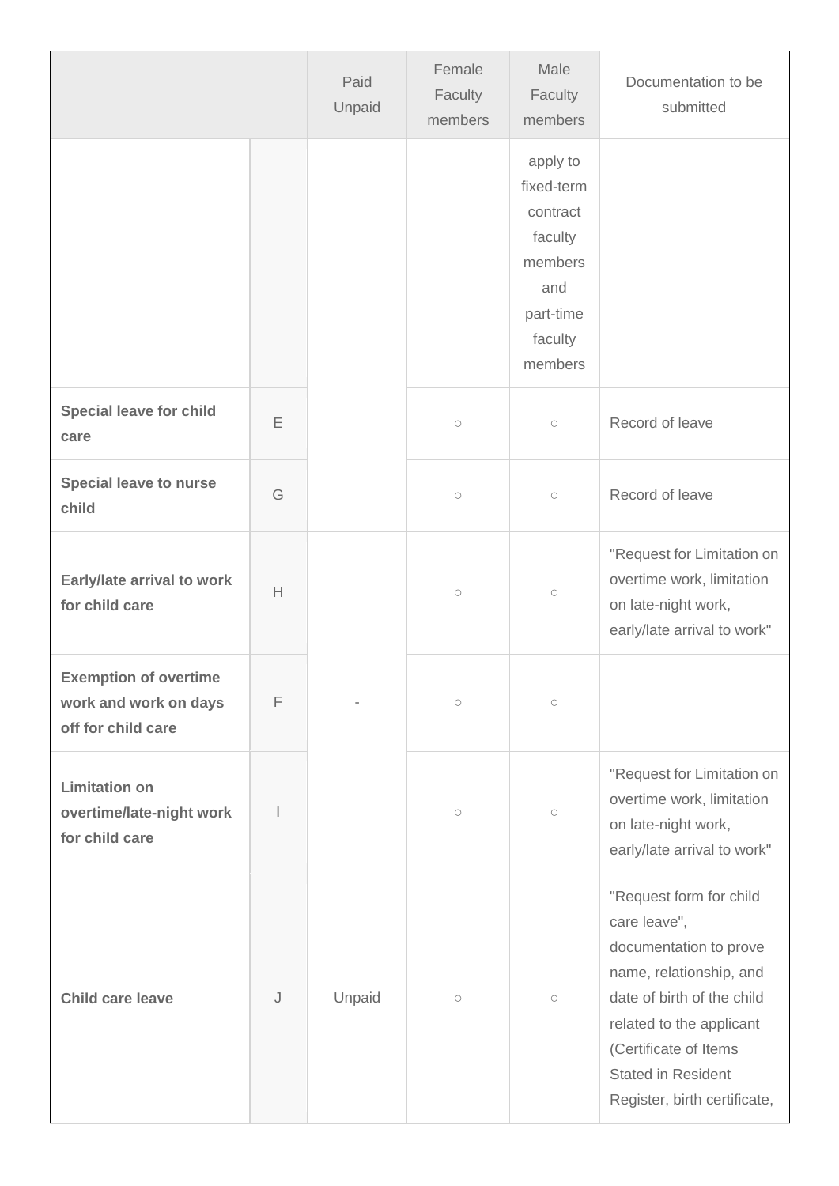|                                                                             |   | Paid<br>Unpaid | Female<br>Faculty<br>members | Male<br>Faculty<br>members                                                                         | Documentation to be<br>submitted                                                                                                                                                                                                             |
|-----------------------------------------------------------------------------|---|----------------|------------------------------|----------------------------------------------------------------------------------------------------|----------------------------------------------------------------------------------------------------------------------------------------------------------------------------------------------------------------------------------------------|
|                                                                             |   |                |                              | apply to<br>fixed-term<br>contract<br>faculty<br>members<br>and<br>part-time<br>faculty<br>members |                                                                                                                                                                                                                                              |
| <b>Special leave for child</b><br>care                                      | E |                | $\bigcirc$                   | $\bigcirc$                                                                                         | Record of leave                                                                                                                                                                                                                              |
| <b>Special leave to nurse</b><br>child                                      | G |                | $\bigcirc$                   | $\bigcirc$                                                                                         | Record of leave                                                                                                                                                                                                                              |
| Early/late arrival to work<br>for child care                                | H |                | $\bigcirc$                   | $\bigcirc$                                                                                         | "Request for Limitation on<br>overtime work, limitation<br>on late-night work,<br>early/late arrival to work"                                                                                                                                |
| <b>Exemption of overtime</b><br>work and work on days<br>off for child care | F |                | $\bigcirc$                   | $\circ$                                                                                            |                                                                                                                                                                                                                                              |
| <b>Limitation on</b><br>overtime/late-night work<br>for child care          |   |                | $\bigcirc$                   | $\bigcirc$                                                                                         | "Request for Limitation on<br>overtime work, limitation<br>on late-night work,<br>early/late arrival to work"                                                                                                                                |
| <b>Child care leave</b>                                                     | J | Unpaid         | $\bigcirc$                   | $\circ$                                                                                            | "Request form for child<br>care leave",<br>documentation to prove<br>name, relationship, and<br>date of birth of the child<br>related to the applicant<br>(Certificate of Items<br><b>Stated in Resident</b><br>Register, birth certificate, |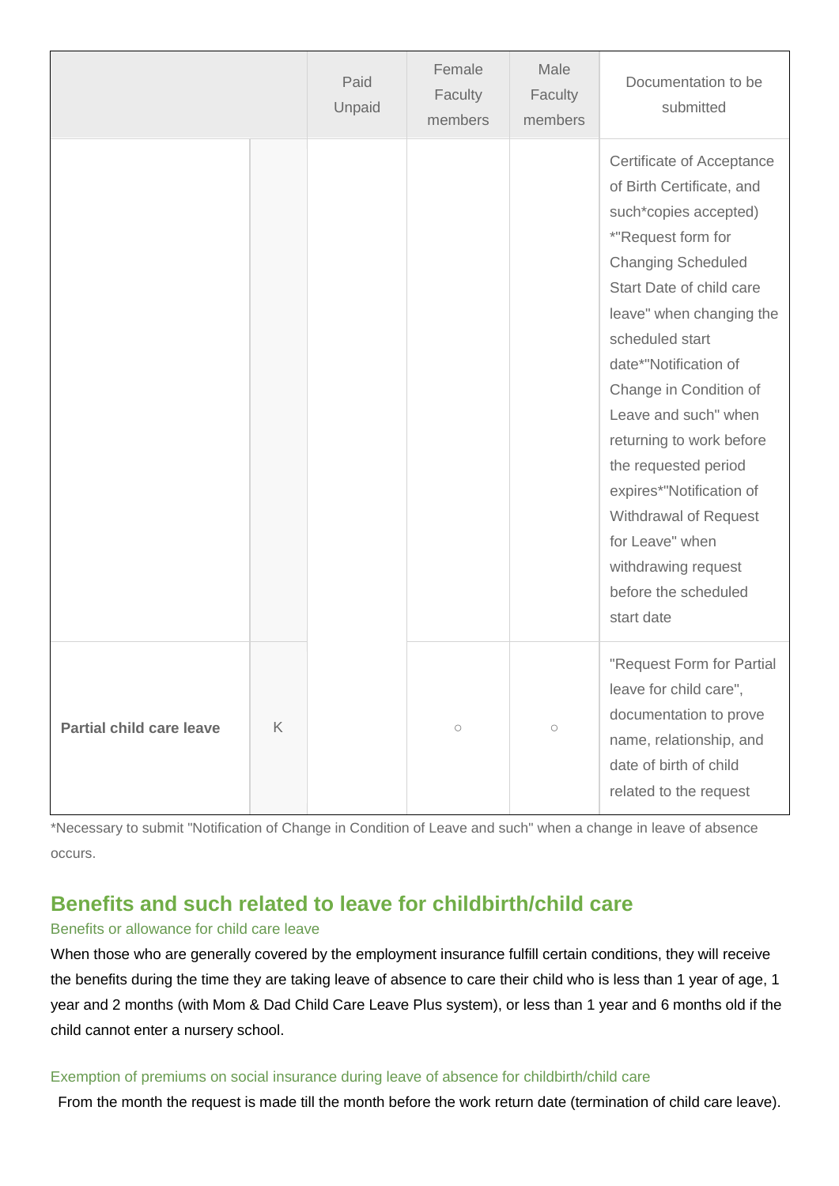|                                 |   | Paid<br>Unpaid | Female<br>Faculty<br>members | Male<br>Faculty<br>members | Documentation to be<br>submitted                                                                                                                                                                                                                                                                                                                                                                                                                                                  |
|---------------------------------|---|----------------|------------------------------|----------------------------|-----------------------------------------------------------------------------------------------------------------------------------------------------------------------------------------------------------------------------------------------------------------------------------------------------------------------------------------------------------------------------------------------------------------------------------------------------------------------------------|
|                                 |   |                |                              |                            | Certificate of Acceptance<br>of Birth Certificate, and<br>such*copies accepted)<br>*"Request form for<br><b>Changing Scheduled</b><br>Start Date of child care<br>leave" when changing the<br>scheduled start<br>date*"Notification of<br>Change in Condition of<br>Leave and such" when<br>returning to work before<br>the requested period<br>expires*"Notification of<br>Withdrawal of Request<br>for Leave" when<br>withdrawing request<br>before the scheduled<br>start date |
| <b>Partial child care leave</b> | K |                | $\bigcirc$                   | $\bigcirc$                 | "Request Form for Partial<br>leave for child care",<br>documentation to prove<br>name, relationship, and<br>date of birth of child<br>related to the request                                                                                                                                                                                                                                                                                                                      |

\*Necessary to submit "Notification of Change in Condition of Leave and such" when a change in leave of absence occurs.

## **Benefits and such related to leave for childbirth/child care**

### Benefits or allowance for child care leave

When those who are generally covered by the employment insurance fulfill certain conditions, they will receive the benefits during the time they are taking leave of absence to care their child who is less than 1 year of age, 1 year and 2 months (with Mom & Dad Child Care Leave Plus system), or less than 1 year and 6 months old if the child cannot enter a nursery school.

#### Exemption of premiums on social insurance during leave of absence for childbirth/child care

From the month the request is made till the month before the work return date (termination of child care leave).